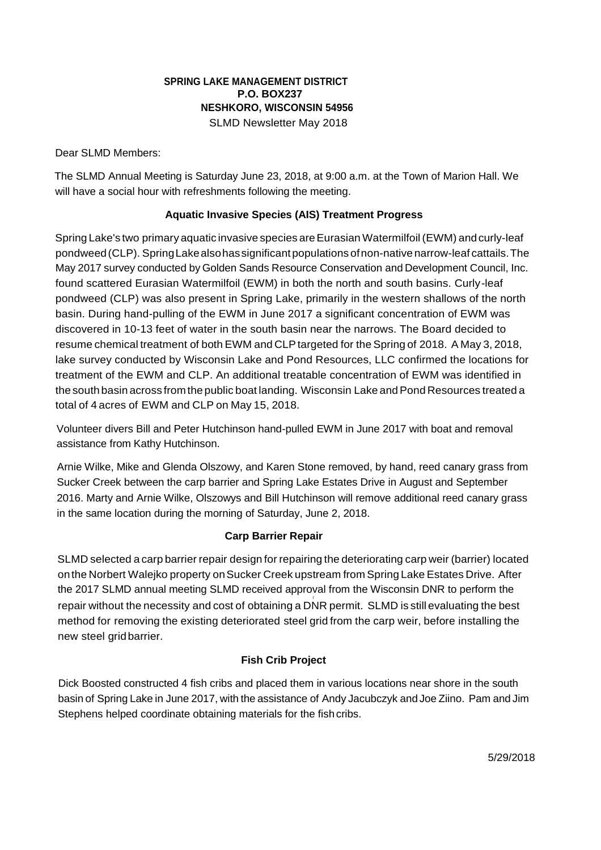## **SPRING LAKE MANAGEMENT DISTRICT P.O. BOX237 NESHKORO, WISCONSIN 54956** SLMD Newsletter May 2018

Dear SLMD Members:

The SLMD Annual Meeting is Saturday June 23, 2018, at 9:00 a.m. at the Town of Marion Hall. We will have a social hour with refreshments following the meeting.

## **Aquatic Invasive Species (AIS) Treatment Progress**

Spring Lake's two primary aquatic invasive species areEurasian Watermilfoil (EWM) andcurly-leaf pondweed(CLP). SpringLakealsohassignificantpopulations ofnon-nativenarrow-leaf cattails.The May 2017 survey conducted by Golden Sands Resource Conservation and Development Council, Inc. found scattered Eurasian Watermilfoil (EWM) in both the north and south basins. Curly-leaf pondweed (CLP) was also present in Spring Lake, primarily in the western shallows of the north basin. During hand-pulling of the EWM in June 2017 a significant concentration of EWM was discovered in 10-13 feet of water in the south basin near the narrows. The Board decided to resume chemical treatment of both EWM and CLP targeted for the Spring of 2018. A May 3, 2018, lake survey conducted by Wisconsin Lake and Pond Resources, LLC confirmed the locations for treatment of the EWM and CLP. An additional treatable concentration of EWM was identified in the south basin across from the public boat landing. Wisconsin Lake and Pond Resources treated a total of 4 acres of EWM and CLP on May 15, 2018.

Volunteer divers Bill and Peter Hutchinson hand-pulled EWM in June 2017 with boat and removal assistance from Kathy Hutchinson.

Arnie Wilke, Mike and Glenda Olszowy, and Karen Stone removed, by hand, reed canary grass from Sucker Creek between the carp barrier and Spring Lake Estates Drive in August and September 2016. Marty and Arnie Wilke, Olszowys and Bill Hutchinson will remove additional reed canary grass in the same location during the morning of Saturday, June 2, 2018.

## **Carp Barrier Repair**

SLMD selected a carp barrier repair design for repairing the deteriorating carp weir (barrier) located onthe Norbert Walejko property onSucker Creek upstream from Spring Lake Estates Drive. After the 2017 SLMD annual meeting SLMD received approval from the Wisconsin DNR to perform the *(* repair without the necessity and cost of obtaining a DNR permit. SLMD is still evaluating the best method for removing the existing deteriorated steel grid from the carp weir, before installing the new steel gridbarrier.

# **Fish Crib Project**

Dick Boosted constructed 4 fish cribs and placed them in various locations near shore in the south basin of Spring Lake in June 2017, with the assistance of Andy Jacubczyk and Joe Ziino. Pam and Jim Stephens helped coordinate obtaining materials for the fish cribs.